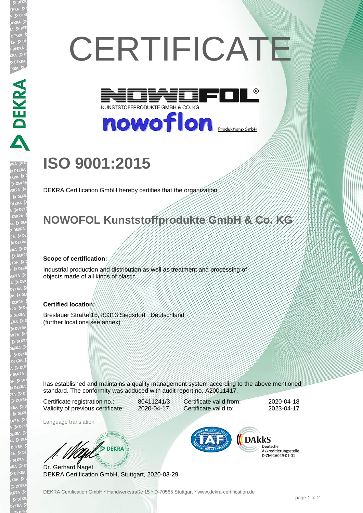# **CERTIFICATE**



# nowoflon **<u>Produktions-GmbH</u>**

## **ISO 9001:2015**

DEKRA Certification GmbH hereby certifies that the organization

#### **NOWOFOL Kunststoffprodukte GmbH & Co. KG**

#### **Scope of certification:**

**PRESERVATE AND DESCRIPTION OF A PRESERVATION CONTRACTOR** 

Industrial production and distribution as well as treatment and processing of objects made of all kinds of plastic

#### **Certified location:**

Breslauer Straße 15, 83313 Siegsdorf , Deutschland (further locations see annex)

has established and maintains a quality management system according to the above mentioned standard. The conformity was adduced with audit report no. A20011417.

Certificate registration no.: 80411241/3 Validity of previous certificate: 2020-04-17

Language translation

Certificate valid from: 2020-04-18 Certificate valid to: 2023-04-17

**DARKS** 

Deutsche Akkreditierungsstelle 

Dr. Gerhard Nagel DEKRA Certification GmbH, Stuttgart, 2020-03-29

We SDEKRA